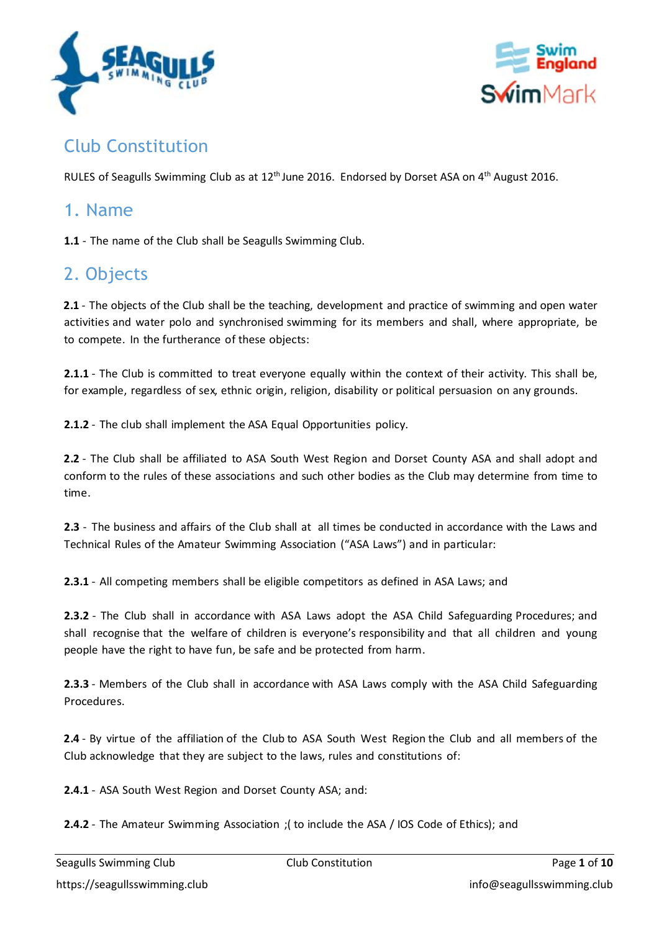



# Club Constitution

RULES of Seagulls Swimming Club as at 12<sup>th</sup> June 2016. Endorsed by Dorset ASA on 4<sup>th</sup> August 2016.

#### 1. Name

**1.1** - The name of the Club shall be Seagulls Swimming Club.

## 2. Objects

**2.1** - The objects of the Club shall be the teaching, development and practice of swimming and open water activities and water polo and synchronised swimming for its members and shall, where appropriate, be to compete. In the furtherance of these objects:

**2.1.1** - The Club is committed to treat everyone equally within the context of their activity. This shall be, for example, regardless of sex, ethnic origin, religion, disability or political persuasion on any grounds.

**2.1.2** - The club shall implement the ASA Equal Opportunities policy.

**2.2** - The Club shall be affiliated to ASA South West Region and Dorset County ASA and shall adopt and conform to the rules of these associations and such other bodies as the Club may determine from time to time.

**2.3** - The business and affairs of the Club shall at all times be conducted in accordance with the Laws and Technical Rules of the Amateur Swimming Association ("ASA Laws") and in particular:

**2.3.1** - All competing members shall be eligible competitors as defined in ASA Laws; and

**2.3.2** - The Club shall in accordance with ASA Laws adopt the ASA Child Safeguarding Procedures; and shall recognise that the welfare of children is everyone's responsibility and that all children and young people have the right to have fun, be safe and be protected from harm.

**2.3.3** - Members of the Club shall in accordance with ASA Laws comply with the ASA Child Safeguarding Procedures.

**2.4** - By virtue of the affiliation of the Club to ASA South West Region the Club and all members of the Club acknowledge that they are subject to the laws, rules and constitutions of:

**2.4.1** - ASA South West Region and Dorset County ASA; and:

**2.4.2** - The Amateur Swimming Association ;( to include the ASA / IOS Code of Ethics); and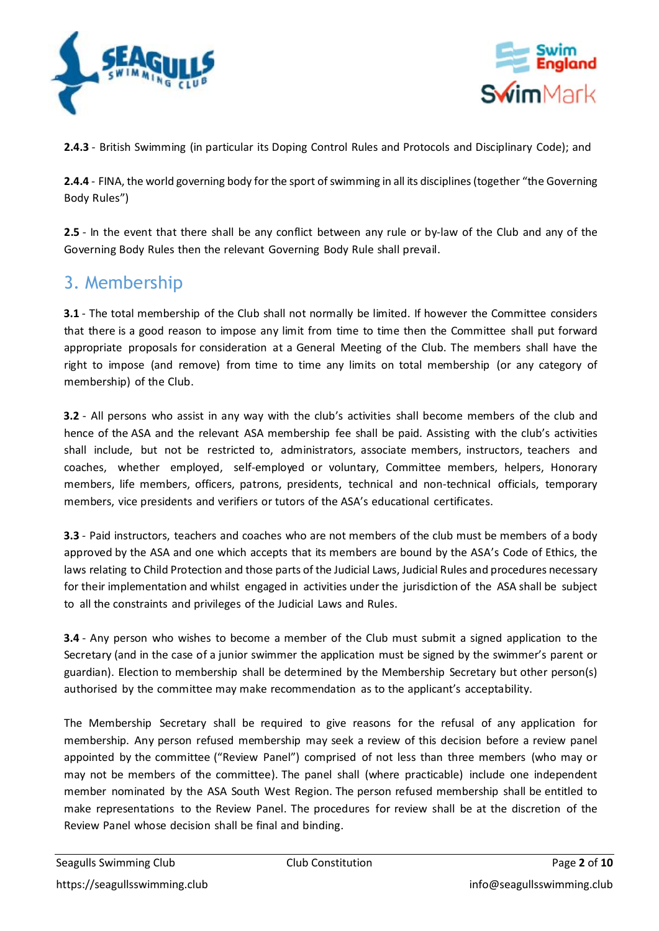



**2.4.3** - British Swimming (in particular its Doping Control Rules and Protocols and Disciplinary Code); and

**2.4.4** - FINA, the world governing body for the sport of swimming in all its disciplines (together "the Governing Body Rules")

**2.5** - In the event that there shall be any conflict between any rule or by-law of the Club and any of the Governing Body Rules then the relevant Governing Body Rule shall prevail.

## 3. Membership

**3.1** - The total membership of the Club shall not normally be limited. If however the Committee considers that there is a good reason to impose any limit from time to time then the Committee shall put forward appropriate proposals for consideration at a General Meeting of the Club. The members shall have the right to impose (and remove) from time to time any limits on total membership (or any category of membership) of the Club.

**3.2** - All persons who assist in any way with the club's activities shall become members of the club and hence of the ASA and the relevant ASA membership fee shall be paid. Assisting with the club's activities shall include, but not be restricted to, administrators, associate members, instructors, teachers and coaches, whether employed, self-employed or voluntary, Committee members, helpers, Honorary members, life members, officers, patrons, presidents, technical and non-technical officials, temporary members, vice presidents and verifiers or tutors of the ASA's educational certificates.

**3.3** - Paid instructors, teachers and coaches who are not members of the club must be members of a body approved by the ASA and one which accepts that its members are bound by the ASA's Code of Ethics, the laws relating to Child Protection and those parts of the Judicial Laws, Judicial Rules and procedures necessary for their implementation and whilst engaged in activities under the jurisdiction of the ASA shall be subject to all the constraints and privileges of the Judicial Laws and Rules.

**3.4** - Any person who wishes to become a member of the Club must submit a signed application to the Secretary (and in the case of a junior swimmer the application must be signed by the swimmer's parent or guardian). Election to membership shall be determined by the Membership Secretary but other person(s) authorised by the committee may make recommendation as to the applicant's acceptability.

The Membership Secretary shall be required to give reasons for the refusal of any application for membership. Any person refused membership may seek a review of this decision before a review panel appointed by the committee ("Review Panel") comprised of not less than three members (who may or may not be members of the committee). The panel shall (where practicable) include one independent member nominated by the ASA South West Region. The person refused membership shall be entitled to make representations to the Review Panel. The procedures for review shall be at the discretion of the Review Panel whose decision shall be final and binding.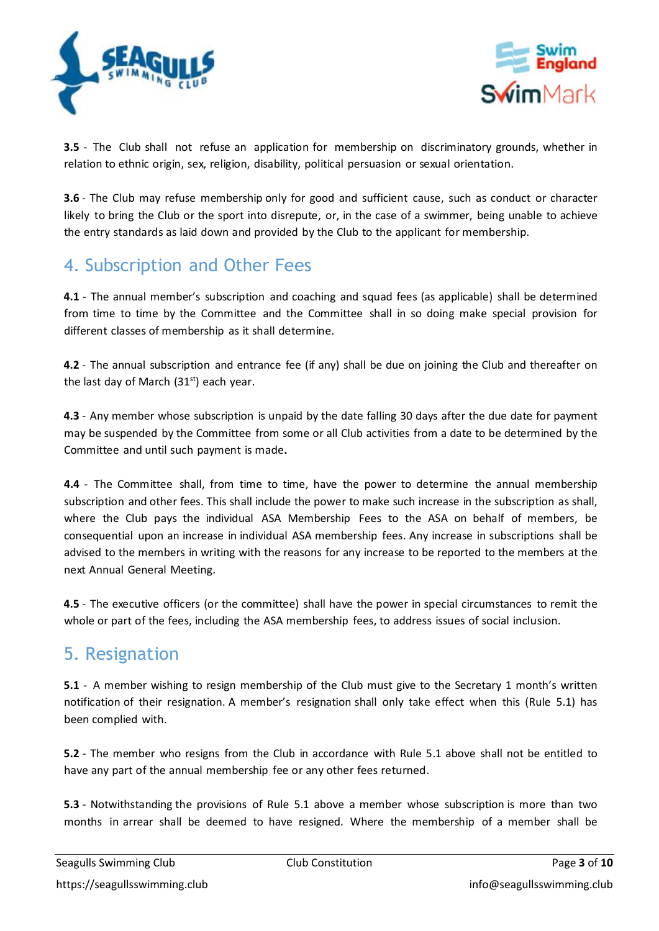



**3.5** - The Club shall not refuse an application for membership on discriminatory grounds, whether in relation to ethnic origin, sex, religion, disability, political persuasion or sexual orientation.

**3.6** - The Club may refuse membership only for good and sufficient cause, such as conduct or character likely to bring the Club or the sport into disrepute, or, in the case of a swimmer, being unable to achieve the entry standards as laid down and provided by the Club to the applicant for membership.

## 4. Subscription and Other Fees

**4.1** - The annual member's subscription and coaching and squad fees (as applicable) shall be determined from time to time by the Committee and the Committee shall in so doing make special provision for different classes of membership as it shall determine.

**4.2** - The annual subscription and entrance fee (if any) shall be due on joining the Club and thereafter on the last day of March (31<sup>st</sup>) each year.

**4.3** - Any member whose subscription is unpaid by the date falling 30 days after the due date for payment may be suspended by the Committee from some or all Club activities from a date to be determined by the Committee and until such payment is made**.**

**4.4** - The Committee shall, from time to time, have the power to determine the annual membership subscription and other fees. This shall include the power to make such increase in the subscription as shall, where the Club pays the individual ASA Membership Fees to the ASA on behalf of members, be consequential upon an increase in individual ASA membership fees. Any increase in subscriptions shall be advised to the members in writing with the reasons for any increase to be reported to the members at the next Annual General Meeting.

**4.5** - The executive officers (or the committee) shall have the power in special circumstances to remit the whole or part of the fees, including the ASA membership fees, to address issues of social inclusion.

## 5. Resignation

**5.1** - A member wishing to resign membership of the Club must give to the Secretary 1 month's written notification of their resignation. A member's resignation shall only take effect when this (Rule 5.1) has been complied with.

**5.2** - The member who resigns from the Club in accordance with Rule 5.1 above shall not be entitled to have any part of the annual membership fee or any other fees returned.

**5.3** - Notwithstanding the provisions of Rule 5.1 above a member whose subscription is more than two months in arrear shall be deemed to have resigned. Where the membership of a member shall be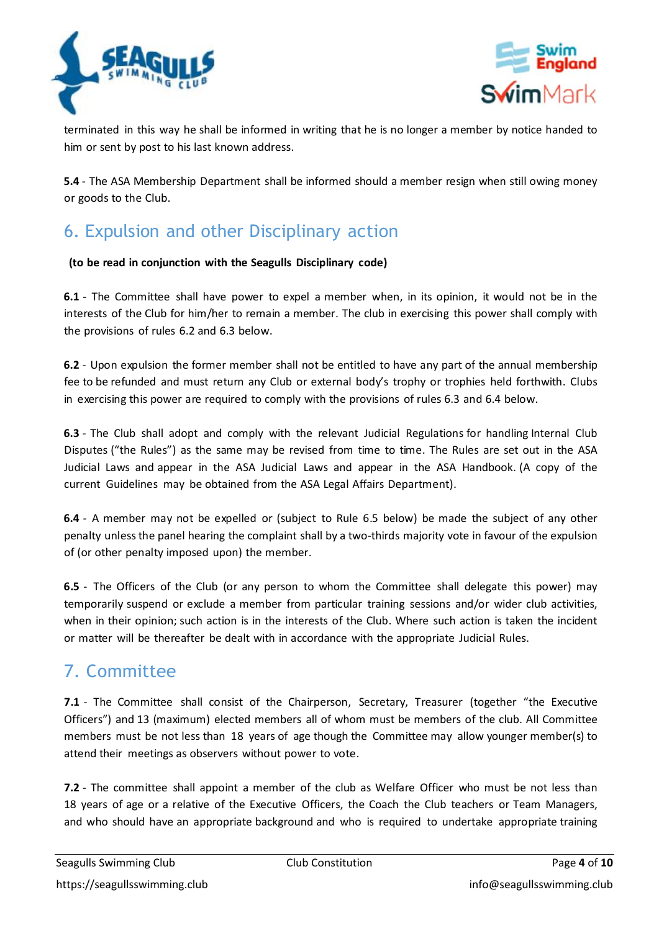



terminated in this way he shall be informed in writing that he is no longer a member by notice handed to him or sent by post to his last known address.

**5.4** - The ASA Membership Department shall be informed should a member resign when still owing money or goods to the Club.

# 6. Expulsion and other Disciplinary action

#### **(to be read in conjunction with the Seagulls Disciplinary code)**

**6.1** - The Committee shall have power to expel a member when, in its opinion, it would not be in the interests of the Club for him/her to remain a member. The club in exercising this power shall comply with the provisions of rules 6.2 and 6.3 below.

**6.2** - Upon expulsion the former member shall not be entitled to have any part of the annual membership fee to be refunded and must return any Club or external body's trophy or trophies held forthwith. Clubs in exercising this power are required to comply with the provisions of rules 6.3 and 6.4 below.

**6.3** - The Club shall adopt and comply with the relevant Judicial Regulations for handling Internal Club Disputes ("the Rules") as the same may be revised from time to time. The Rules are set out in the ASA Judicial Laws and appear in the ASA Judicial Laws and appear in the ASA Handbook. (A copy of the current Guidelines may be obtained from the ASA Legal Affairs Department).

**6.4** - A member may not be expelled or (subject to Rule 6.5 below) be made the subject of any other penalty unlessthe panel hearing the complaint shall by a two-thirds majority vote in favour of the expulsion of (or other penalty imposed upon) the member.

**6.5** - The Officers of the Club (or any person to whom the Committee shall delegate this power) may temporarily suspend or exclude a member from particular training sessions and/or wider club activities, when in their opinion; such action is in the interests of the Club. Where such action istaken the incident or matter will be thereafter be dealt with in accordance with the appropriate Judicial Rules.

## 7. Committee

**7.1** - The Committee shall consist of the Chairperson, Secretary, Treasurer (together "the Executive Officers") and 13 (maximum) elected members all of whom must be members of the club. All Committee members must be not less than 18 years of age though the Committee may allow younger member(s) to attend their meetings as observers without power to vote.

**7.2** - The committee shall appoint a member of the club as Welfare Officer who must be not less than 18 years of age or a relative of the Executive Officers, the Coach the Club teachers or Team Managers, and who should have an appropriate background and who is required to undertake appropriate training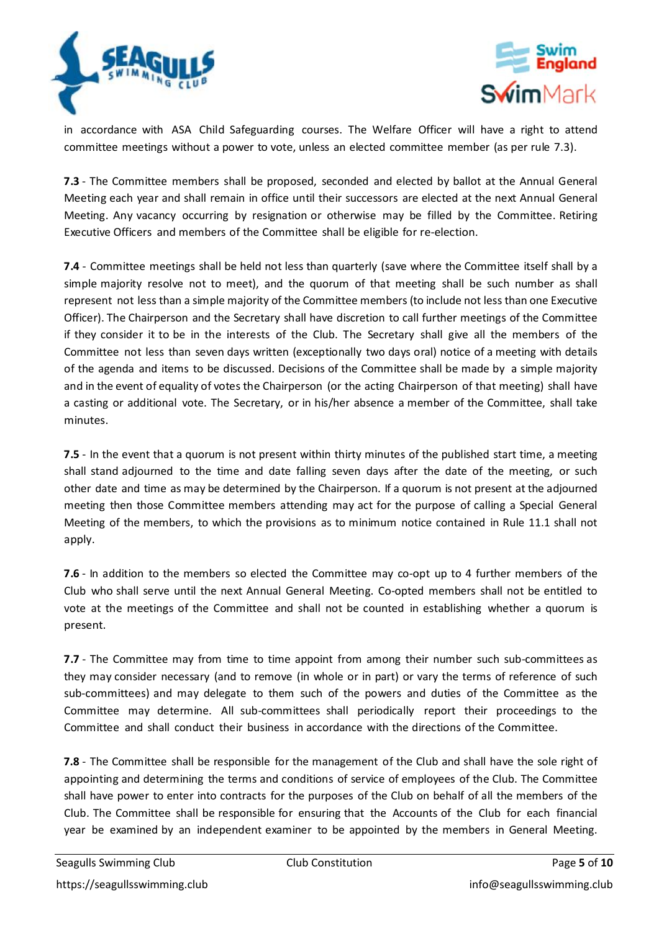



in accordance with ASA Child Safeguarding courses. The Welfare Officer will have a right to attend committee meetings without a power to vote, unless an elected committee member (as per rule 7.3).

**7.3** - The Committee members shall be proposed, seconded and elected by ballot at the Annual General Meeting each year and shall remain in office until their successors are elected at the next Annual General Meeting. Any vacancy occurring by resignation or otherwise may be filled by the Committee. Retiring Executive Officers and members of the Committee shall be eligible for re-election.

**7.4** - Committee meetings shall be held not less than quarterly (save where the Committee itself shall by a simple majority resolve not to meet), and the quorum of that meeting shall be such number as shall represent not less than a simple majority of the Committee members (to include not less than one Executive Officer). The Chairperson and the Secretary shall have discretion to call further meetings of the Committee if they consider it to be in the interests of the Club. The Secretary shall give all the members of the Committee not less than seven days written (exceptionally two days oral) notice of a meeting with details of the agenda and items to be discussed. Decisions of the Committee shall be made by a simple majority and in the event of equality of votes the Chairperson (or the acting Chairperson of that meeting) shall have a casting or additional vote. The Secretary, or in his/her absence a member of the Committee, shall take minutes.

**7.5** - In the event that a quorum is not present within thirty minutes of the published start time, a meeting shall stand adjourned to the time and date falling seven days after the date of the meeting, or such other date and time as may be determined by the Chairperson. If a quorum is not present at the adjourned meeting then those Committee members attending may act for the purpose of calling a Special General Meeting of the members, to which the provisions as to minimum notice contained in Rule 11.1 shall not apply.

**7.6** - In addition to the members so elected the Committee may co-opt up to 4 further members of the Club who shall serve until the next Annual General Meeting. Co-opted members shall not be entitled to vote at the meetings of the Committee and shall not be counted in establishing whether a quorum is present.

**7.7** - The Committee may from time to time appoint from among their number such sub-committees as they may consider necessary (and to remove (in whole or in part) or vary the terms of reference of such sub-committees) and may delegate to them such of the powers and duties of the Committee as the Committee may determine. All sub-committees shall periodically report their proceedings to the Committee and shall conduct their business in accordance with the directions of the Committee.

**7.8** - The Committee shall be responsible for the management of the Club and shall have the sole right of appointing and determining the terms and conditions of service of employees of the Club. The Committee shall have power to enter into contracts for the purposes of the Club on behalf of all the members of the Club. The Committee shall be responsible for ensuring that the Accounts of the Club for each financial year be examined by an independent examiner to be appointed by the members in General Meeting.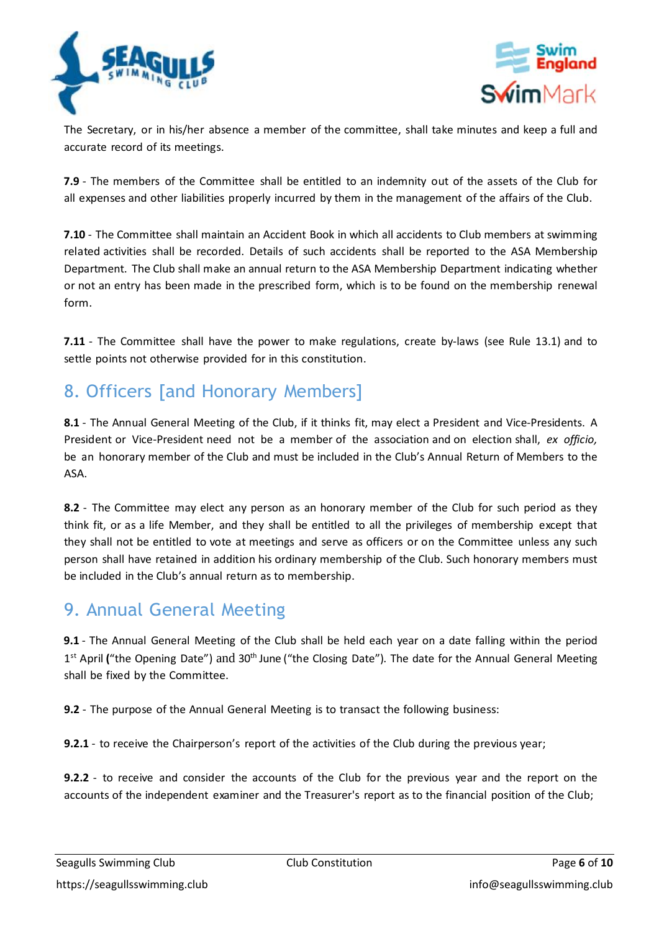



The Secretary, or in his/her absence a member of the committee, shall take minutes and keep a full and accurate record of its meetings.

**7.9** - The members of the Committee shall be entitled to an indemnity out of the assets of the Club for all expenses and other liabilities properly incurred by them in the management of the affairs of the Club.

**7.10** - The Committee shall maintain an Accident Book in which all accidents to Club members at swimming related activities shall be recorded. Details of such accidents shall be reported to the ASA Membership Department. The Club shall make an annual return to the ASA Membership Department indicating whether or not an entry has been made in the prescribed form, which is to be found on the membership renewal form.

**7.11** - The Committee shall have the power to make regulations, create by-laws (see Rule 13.1) and to settle points not otherwise provided for in this constitution.

# 8. Officers [and Honorary Members]

8.1 - The Annual General Meeting of the Club, if it thinks fit, may elect a President and Vice-Presidents. A President or Vice-President need not be a member of the association and on election shall, *ex officio,* be an honorary member of the Club and must be included in the Club's Annual Return of Members to the ASA.

**8.2** - The Committee may elect any person as an honorary member of the Club for such period as they think fit, or as a life Member, and they shall be entitled to all the privileges of membership except that they shall not be entitled to vote at meetings and serve as officers or on the Committee unless any such person shall have retained in addition his ordinary membership of the Club. Such honorary members must be included in the Club's annual return as to membership.

## 9. Annual General Meeting

**9.1** - The Annual General Meeting of the Club shall be held each year on a date falling within the period 1<sup>st</sup> April ("the Opening Date") and 30<sup>th</sup> June ("the Closing Date"). The date for the Annual General Meeting shall be fixed by the Committee.

**9.2** - The purpose of the Annual General Meeting is to transact the following business:

**9.2.1** - to receive the Chairperson's report of the activities of the Club during the previous year;

**9.2.2** - to receive and consider the accounts of the Club for the previous year and the report on the accounts of the independent examiner and the Treasurer's report as to the financial position of the Club;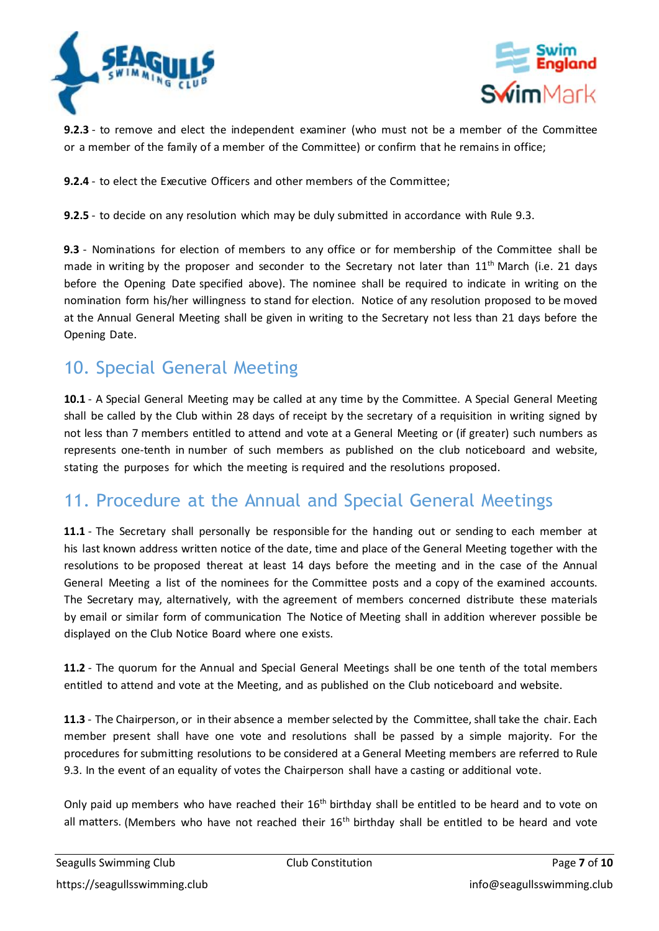



**9.2.3** - to remove and elect the independent examiner (who must not be a member of the Committee or a member of the family of a member of the Committee) or confirm that he remains in office;

**9.2.4** - to elect the Executive Officers and other members of the Committee;

**9.2.5** - to decide on any resolution which may be duly submitted in accordance with Rule 9.3.

**9.3** - Nominations for election of members to any office or for membership of the Committee shall be made in writing by the proposer and seconder to the Secretary not later than 11<sup>th</sup> March (i.e. 21 days before the Opening Date specified above). The nominee shall be required to indicate in writing on the nomination form his/her willingness to stand for election. Notice of any resolution proposed to be moved at the Annual General Meeting shall be given in writing to the Secretary not less than 21 days before the Opening Date.

## 10. Special General Meeting

**10.1** - A Special General Meeting may be called at any time by the Committee. A Special General Meeting shall be called by the Club within 28 days of receipt by the secretary of a requisition in writing signed by not less than 7 members entitled to attend and vote at a General Meeting or (if greater) such numbers as represents one-tenth in number of such members as published on the club noticeboard and website, stating the purposes for which the meeting is required and the resolutions proposed.

## 11. Procedure at the Annual and Special General Meetings

**11.1** - The Secretary shall personally be responsible for the handing out or sending to each member at his last known address written notice of the date, time and place of the General Meeting together with the resolutions to be proposed thereat at least 14 days before the meeting and in the case of the Annual General Meeting a list of the nominees for the Committee posts and a copy of the examined accounts. The Secretary may, alternatively, with the agreement of members concerned distribute these materials by email or similar form of communication The Notice of Meeting shall in addition wherever possible be displayed on the Club Notice Board where one exists.

**11.2** - The quorum for the Annual and Special General Meetings shall be one tenth of the total members entitled to attend and vote at the Meeting, and as published on the Club noticeboard and website.

**11.3** - The Chairperson, or in their absence a memberselected by the Committee, shall take the chair. Each member present shall have one vote and resolutions shall be passed by a simple majority. For the procedures for submitting resolutions to be considered at a General Meeting members are referred to Rule 9.3. In the event of an equality of votes the Chairperson shall have a casting or additional vote.

Only paid up members who have reached their  $16<sup>th</sup>$  birthday shall be entitled to be heard and to vote on all matters. (Members who have not reached their 16<sup>th</sup> birthday shall be entitled to be heard and vote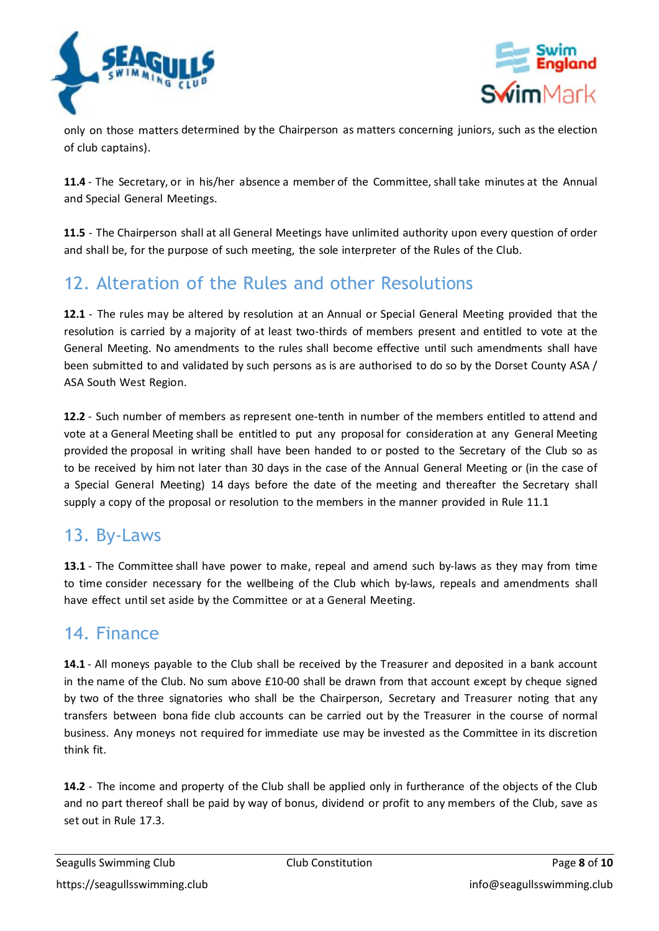



only on those matters determined by the Chairperson as matters concerning juniors, such as the election of club captains).

**11.4** - The Secretary, or in his/her absence a member of the Committee, shall take minutes at the Annual and Special General Meetings.

**11.5** - The Chairperson shall at all General Meetings have unlimited authority upon every question of order and shall be, for the purpose of such meeting, the sole interpreter of the Rules of the Club.

# 12. Alteration of the Rules and other Resolutions

**12.1** - The rules may be altered by resolution at an Annual or Special General Meeting provided that the resolution is carried by a majority of at least two-thirds of members present and entitled to vote at the General Meeting. No amendments to the rules shall become effective until such amendments shall have been submitted to and validated by such persons as is are authorised to do so by the Dorset County ASA / ASA South West Region.

**12.2** - Such number of members as represent one-tenth in number of the members entitled to attend and vote at a General Meeting shall be entitled to put any proposal for consideration at any General Meeting provided the proposal in writing shall have been handed to or posted to the Secretary of the Club so as to be received by him not later than 30 days in the case of the Annual General Meeting or (in the case of a Special General Meeting) 14 days before the date of the meeting and thereafter the Secretary shall supply a copy of the proposal or resolution to the members in the manner provided in Rule 11.1

## 13. By-Laws

**13.1** - The Committee shall have power to make, repeal and amend such by-laws as they may from time to time consider necessary for the wellbeing of the Club which by-laws, repeals and amendments shall have effect until set aside by the Committee or at a General Meeting.

## 14. Finance

14.1 - All moneys payable to the Club shall be received by the Treasurer and deposited in a bank account in the name of the Club. No sum above £10-00 shall be drawn from that account except by cheque signed by two of the three signatories who shall be the Chairperson, Secretary and Treasurer noting that any transfers between bona fide club accounts can be carried out by the Treasurer in the course of normal business. Any moneys not required for immediate use may be invested as the Committee in its discretion think fit.

**14.2** - The income and property of the Club shall be applied only in furtherance of the objects of the Club and no part thereof shall be paid by way of bonus, dividend or profit to any members of the Club, save as set out in Rule 17.3.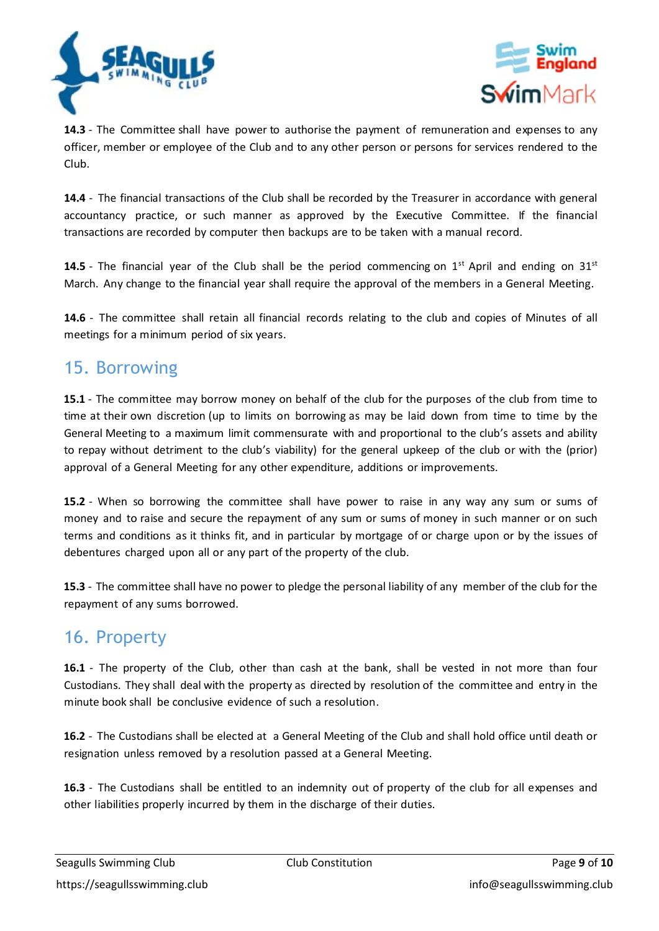



**14.3** - The Committee shall have power to authorise the payment of remuneration and expenses to any officer, member or employee of the Club and to any other person or persons for services rendered to the Club.

**14.4** - The financial transactions of the Club shall be recorded by the Treasurer in accordance with general accountancy practice, or such manner as approved by the Executive Committee. If the financial transactions are recorded by computer then backups are to be taken with a manual record.

14.5 - The financial year of the Club shall be the period commencing on 1<sup>st</sup> April and ending on 31<sup>st</sup> March. Any change to the financial year shall require the approval of the members in a General Meeting.

**14.6** - The committee shall retain all financial records relating to the club and copies of Minutes of all meetings for a minimum period of six years.

## 15. Borrowing

**15.1** - The committee may borrow money on behalf of the club for the purposes of the club from time to time at their own discretion (up to limits on borrowing as may be laid down from time to time by the General Meeting to a maximum limit commensurate with and proportional to the club's assets and ability to repay without detriment to the club's viability) for the general upkeep of the club orwith the (prior) approval of a General Meeting for any other expenditure, additions or improvements.

**15.2** - When so borrowing the committee shall have power to raise in any way any sum or sums of money and to raise and secure the repayment of any sum or sums of money in such manner or on such terms and conditions as it thinks fit, and in particular by mortgage of or charge upon or by the issues of debentures charged upon all or any part of the property of the club.

**15.3** - The committee shall have no power to pledge the personal liability of any member of the club for the repayment of any sums borrowed.

#### 16. Property

**16.1** - The property of the Club, other than cash at the bank, shall be vested in not more than four Custodians. They shall deal with the property as directed by resolution of the committee and entry in the minute book shall be conclusive evidence of such a resolution.

**16.2** - The Custodians shall be elected at a General Meeting of the Club and shall hold office until death or resignation unless removed by a resolution passed at a General Meeting.

**16.3** - The Custodians shall be entitled to an indemnity out of property of the club for all expenses and other liabilities properly incurred by them in the discharge of their duties.